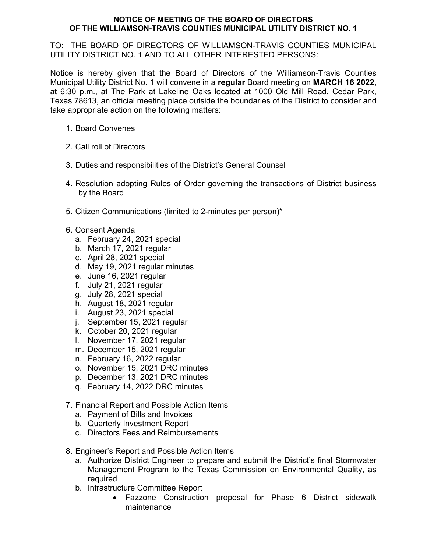## **NOTICE OF MEETING OF THE BOARD OF DIRECTORS OF THE WILLIAMSON-TRAVIS COUNTIES MUNICIPAL UTILITY DISTRICT NO. 1**

TO: THE BOARD OF DIRECTORS OF WILLIAMSON-TRAVIS COUNTIES MUNICIPAL UTILITY DISTRICT NO. 1 AND TO ALL OTHER INTERESTED PERSONS:

Notice is hereby given that the Board of Directors of the Williamson-Travis Counties Municipal Utility District No. 1 will convene in a **regular** Board meeting on **MARCH 16 2022**, at 6:30 p.m., at The Park at Lakeline Oaks located at 1000 Old Mill Road, Cedar Park, Texas 78613, an official meeting place outside the boundaries of the District to consider and take appropriate action on the following matters:

- 1. Board Convenes
- 2. Call roll of Directors
- 3. Duties and responsibilities of the District's General Counsel
- 4. Resolution adopting Rules of Order governing the transactions of District business by the Board
- 5. Citizen Communications (limited to 2-minutes per person)\*
- 6. Consent Agenda
	- a. February 24, 2021 special
	- b. March 17, 2021 regular
	- c. April 28, 2021 special
	- d. May 19, 2021 regular minutes
	- e. June 16, 2021 regular
	- f. July 21, 2021 regular
	- g. July 28, 2021 special
	- h. August 18, 2021 regular
	- i. August 23, 2021 special
	- j. September 15, 2021 regular
	- k. October 20, 2021 regular
	- l. November 17, 2021 regular
	- m. December 15, 2021 regular
	- n. February 16, 2022 regular
	- o. November 15, 2021 DRC minutes
	- p. December 13, 2021 DRC minutes
	- q. February 14, 2022 DRC minutes
- 7. Financial Report and Possible Action Items
	- a. Payment of Bills and Invoices
	- b. Quarterly Investment Report
	- c. Directors Fees and Reimbursements
- 8. Engineer's Report and Possible Action Items
	- a. Authorize District Engineer to prepare and submit the District's final Stormwater Management Program to the Texas Commission on Environmental Quality, as required
	- b. Infrastructure Committee Report
		- Fazzone Construction proposal for Phase 6 District sidewalk maintenance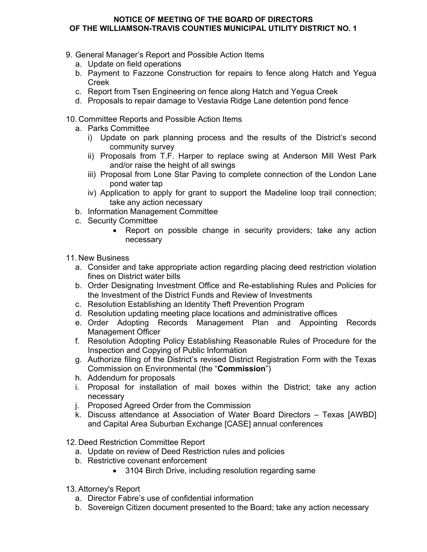## **NOTICE OF MEETING OF THE BOARD OF DIRECTORS OF THE WILLIAMSON-TRAVIS COUNTIES MUNICIPAL UTILITY DISTRICT NO. 1**

- 9. General Manager's Report and Possible Action Items
	- a. Update on field operations
	- b. Payment to Fazzone Construction for repairs to fence along Hatch and Yegua Creek
	- c. Report from Tsen Engineering on fence along Hatch and Yegua Creek
	- d. Proposals to repair damage to Vestavia Ridge Lane detention pond fence
- 10. Committee Reports and Possible Action Items
	- a. Parks Committee
		- i) Update on park planning process and the results of the District's second community survey
		- ii) Proposals from T.F. Harper to replace swing at Anderson Mill West Park and/or raise the height of all swings
		- iii) Proposal from Lone Star Paving to complete connection of the London Lane pond water tap
		- iv) Application to apply for grant to support the Madeline loop trail connection; take any action necessary
	- b. Information Management Committee
	- c. Security Committee
		- Report on possible change in security providers; take any action necessary
- 11. New Business
	- a. Consider and take appropriate action regarding placing deed restriction violation fines on District water bills
	- b. Order Designating Investment Office and Re-establishing Rules and Policies for the Investment of the District Funds and Review of Investments
	- c. Resolution Establishing an Identity Theft Prevention Program
	- d. Resolution updating meeting place locations and administrative offices
	- e. Order Adopting Records Management Plan and Appointing Records Management Officer
	- f. Resolution Adopting Policy Establishing Reasonable Rules of Procedure for the Inspection and Copying of Public Information
	- g. Authorize filing of the District's revised District Registration Form with the Texas Commission on Environmental (the "**Commission**")
	- h. Addendum for proposals
	- i. Proposal for installation of mail boxes within the District; take any action necessary
	- j. Proposed Agreed Order from the Commission
	- k. Discuss attendance at Association of Water Board Directors Texas [AWBD] and Capital Area Suburban Exchange [CASE] annual conferences

12. Deed Restriction Committee Report

- a. Update on review of Deed Restriction rules and policies
- b. Restrictive covenant enforcement
	- 3104 Birch Drive, including resolution regarding same
- 13. Attorney's Report
	- a. Director Fabre's use of confidential information
	- b. Sovereign Citizen document presented to the Board; take any action necessary